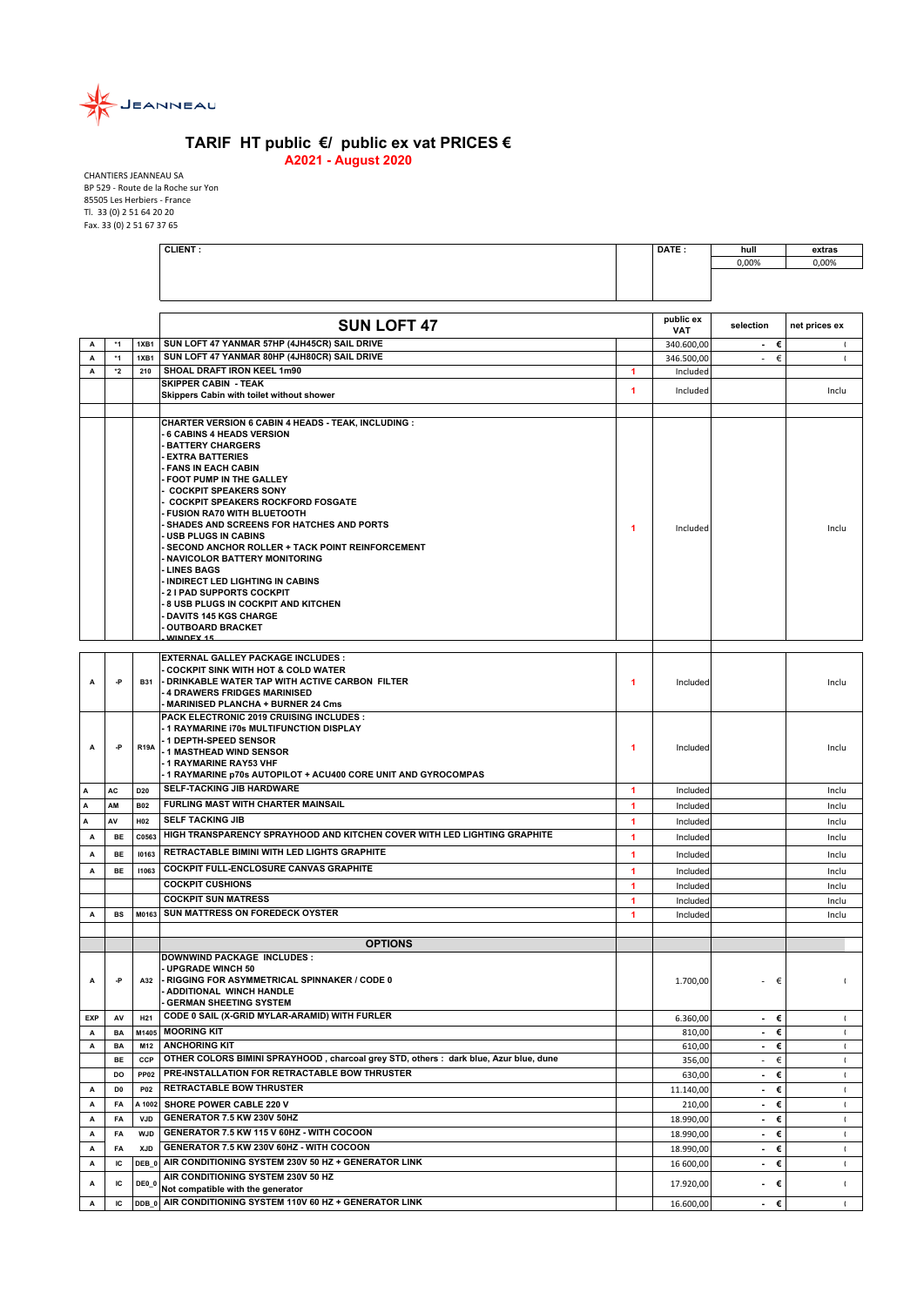

## **TARIF HT public €/ public ex vat PRICES € A2021 - August 2020**

CHANTIERS JEANNEAU SA BP 529 ‐ Route de la Roche sur Yon 85505 Les Herbiers ‐ France Tl. 33 (0) 2 51 64 20 20 Fax. 33 (0) 2 51 67 37 65

|            |                      |                    | <b>CLIENT:</b>                                                                                                                                                                                                                                                                                                                                                                                                                                                                                                                                                                                                                                                                                                                  |                      | DATE :              | hull<br>0,00%                 | extras<br>0,00%                |
|------------|----------------------|--------------------|---------------------------------------------------------------------------------------------------------------------------------------------------------------------------------------------------------------------------------------------------------------------------------------------------------------------------------------------------------------------------------------------------------------------------------------------------------------------------------------------------------------------------------------------------------------------------------------------------------------------------------------------------------------------------------------------------------------------------------|----------------------|---------------------|-------------------------------|--------------------------------|
|            |                      |                    |                                                                                                                                                                                                                                                                                                                                                                                                                                                                                                                                                                                                                                                                                                                                 |                      |                     |                               |                                |
|            |                      |                    |                                                                                                                                                                                                                                                                                                                                                                                                                                                                                                                                                                                                                                                                                                                                 |                      |                     |                               |                                |
|            |                      |                    | <b>SUN LOFT 47</b>                                                                                                                                                                                                                                                                                                                                                                                                                                                                                                                                                                                                                                                                                                              |                      | public ex           | selection                     | net prices ex                  |
| A          | *1                   | 1XB1               | SUN LOFT 47 YANMAR 57HP (4JH45CR) SAIL DRIVE                                                                                                                                                                                                                                                                                                                                                                                                                                                                                                                                                                                                                                                                                    |                      | VAT<br>340.600,00   | €<br>$\sim$                   |                                |
| А          | $*1$                 | <b>1XB1</b>        | SUN LOFT 47 YANMAR 80HP (4JH80CR) SAIL DRIVE                                                                                                                                                                                                                                                                                                                                                                                                                                                                                                                                                                                                                                                                                    |                      | 346.500,00          | €<br>$\overline{\phantom{a}}$ | $\mathbf{I}$                   |
| A          | *2                   | 210                | SHOAL DRAFT IRON KEEL 1m90                                                                                                                                                                                                                                                                                                                                                                                                                                                                                                                                                                                                                                                                                                      | $\blacktriangleleft$ | Included            |                               |                                |
|            |                      |                    | <b>SKIPPER CABIN - TEAK</b>                                                                                                                                                                                                                                                                                                                                                                                                                                                                                                                                                                                                                                                                                                     | 1                    | Included            |                               | Inclu                          |
|            |                      |                    | Skippers Cabin with toilet without shower                                                                                                                                                                                                                                                                                                                                                                                                                                                                                                                                                                                                                                                                                       |                      |                     |                               |                                |
|            |                      |                    | CHARTER VERSION 6 CABIN 4 HEADS - TEAK, INCLUDING :<br>6 CABINS 4 HEADS VERSION<br><b>BATTERY CHARGERS</b><br><b>EXTRA BATTERIES</b><br><b>FANS IN EACH CABIN</b><br>FOOT PUMP IN THE GALLEY<br><b>COCKPIT SPEAKERS SONY</b><br><b>COCKPIT SPEAKERS ROCKFORD FOSGATE</b><br><b>FUSION RA70 WITH BLUETOOTH</b><br>SHADES AND SCREENS FOR HATCHES AND PORTS<br><b>USB PLUGS IN CABINS</b><br>SECOND ANCHOR ROLLER + TACK POINT REINFORCEMENT<br>NAVICOLOR BATTERY MONITORING<br><b>LINES BAGS</b><br>INDIRECT LED LIGHTING IN CABINS<br><b>21 PAD SUPPORTS COCKPIT</b><br>8 USB PLUGS IN COCKPIT AND KITCHEN<br><b>DAVITS 145 KGS CHARGE</b><br><b>OUTBOARD BRACKET</b><br>WINDEY 15<br><b>EXTERNAL GALLEY PACKAGE INCLUDES :</b> | 1                    | Included            |                               | Inclu                          |
| А          | -P                   | <b>B31</b>         | <b>COCKPIT SINK WITH HOT &amp; COLD WATER</b><br>- DRINKABLE WATER TAP WITH ACTIVE CARBON FILTER<br>4 DRAWERS FRIDGES MARINISED<br><b>MARINISED PLANCHA + BURNER 24 Cms</b>                                                                                                                                                                                                                                                                                                                                                                                                                                                                                                                                                     | 1                    | Included            |                               | Inclu                          |
| A          | -P                   | <b>R19A</b>        | PACK ELECTRONIC 2019 CRUISING INCLUDES :<br>- 1 RAYMARINE 170s MULTIFUNCTION DISPLAY<br>- 1 DEPTH-SPEED SENSOR<br>- 1 MASTHEAD WIND SENSOR<br>- 1 RAYMARINE RAY53 VHF<br>- 1 RAYMARINE p70s AUTOPILOT + ACU400 CORE UNIT AND GYROCOMPAS                                                                                                                                                                                                                                                                                                                                                                                                                                                                                         | 1                    | Included            |                               | Inclu                          |
| А          | AC                   | D <sub>20</sub>    | SELF-TACKING JIB HARDWARE                                                                                                                                                                                                                                                                                                                                                                                                                                                                                                                                                                                                                                                                                                       | 1                    | Included            |                               | Inclu                          |
| A          | AM                   | <b>B02</b>         | FURLING MAST WITH CHARTER MAINSAIL                                                                                                                                                                                                                                                                                                                                                                                                                                                                                                                                                                                                                                                                                              | 1                    | Included            |                               | Inclu                          |
| Α          | AV                   | H <sub>02</sub>    | <b>SELF TACKING JIB</b>                                                                                                                                                                                                                                                                                                                                                                                                                                                                                                                                                                                                                                                                                                         | $\blacktriangleleft$ | Included            |                               | Inclu                          |
| Α          | BE                   | C0563              | HIGH TRANSPARENCY SPRAYHOOD AND KITCHEN COVER WITH LED LIGHTING GRAPHITE                                                                                                                                                                                                                                                                                                                                                                                                                                                                                                                                                                                                                                                        | 1                    | Included            |                               | Inclu                          |
| А          | BE                   | 10163              | RETRACTABLE BIMINI WITH LED LIGHTS GRAPHITE                                                                                                                                                                                                                                                                                                                                                                                                                                                                                                                                                                                                                                                                                     | 1                    | Included            |                               | Inclu                          |
| А          | <b>BE</b>            | 11063              | COCKPIT FULL-ENCLOSURE CANVAS GRAPHITE                                                                                                                                                                                                                                                                                                                                                                                                                                                                                                                                                                                                                                                                                          | $\blacktriangleleft$ | Included            |                               | Inclu                          |
|            |                      |                    | <b>COCKPIT CUSHIONS</b>                                                                                                                                                                                                                                                                                                                                                                                                                                                                                                                                                                                                                                                                                                         | $\blacktriangleleft$ | Included            |                               | Inclu                          |
|            |                      |                    | <b>COCKPIT SUN MATRESS</b>                                                                                                                                                                                                                                                                                                                                                                                                                                                                                                                                                                                                                                                                                                      | 1                    | Included            |                               | Inclu                          |
| А          | <b>BS</b>            | M0163              | <b>SUN MATTRESS ON FOREDECK OYSTER</b>                                                                                                                                                                                                                                                                                                                                                                                                                                                                                                                                                                                                                                                                                          | 1                    | Included            |                               | Inclu                          |
|            |                      |                    |                                                                                                                                                                                                                                                                                                                                                                                                                                                                                                                                                                                                                                                                                                                                 |                      |                     |                               |                                |
|            |                      |                    | <b>OPTIONS</b>                                                                                                                                                                                                                                                                                                                                                                                                                                                                                                                                                                                                                                                                                                                  |                      |                     |                               |                                |
| Α          | -P                   | A32                | <b>DOWNWIND PACKAGE INCLUDES:</b><br><b>UPGRADE WINCH 50</b><br>- RIGGING FOR ASYMMETRICAL SPINNAKER / CODE 0<br><b>ADDITIONAL WINCH HANDLE</b><br><b>GERMAN SHEETING SYSTEM</b>                                                                                                                                                                                                                                                                                                                                                                                                                                                                                                                                                |                      | 1.700,00            | €<br>$\overline{\phantom{a}}$ | $\mathbf{I}$                   |
| <b>EXP</b> | AV                   | H <sub>21</sub>    | CODE 0 SAIL (X-GRID MYLAR-ARAMID) WITH FURLER                                                                                                                                                                                                                                                                                                                                                                                                                                                                                                                                                                                                                                                                                   |                      | 6.360,00            | €<br>$\sim$                   | $\blacksquare$                 |
| Α          | BA                   | M1405              | <b>MOORING KIT</b>                                                                                                                                                                                                                                                                                                                                                                                                                                                                                                                                                                                                                                                                                                              |                      | 810,00              | €<br>$\blacksquare$           | $\mathbf{I}$                   |
| А          | BA                   | M12                | <b>ANCHORING KIT</b><br>OTHER COLORS BIMINI SPRAYHOOD, charcoal grey STD, others: dark blue, Azur blue, dune                                                                                                                                                                                                                                                                                                                                                                                                                                                                                                                                                                                                                    |                      | 610,00              | €<br>$\sim$                   | $\mathfrak{t}$                 |
|            | <b>BE</b>            | CCP                | PRE-INSTALLATION FOR RETRACTABLE BOW THRUSTER                                                                                                                                                                                                                                                                                                                                                                                                                                                                                                                                                                                                                                                                                   |                      | 356,00              | €<br>$\sim$<br>€              | $\mathbf{I}$                   |
| A          | DO<br>D <sub>0</sub> | <b>PP02</b><br>P02 | <b>RETRACTABLE BOW THRUSTER</b>                                                                                                                                                                                                                                                                                                                                                                                                                                                                                                                                                                                                                                                                                                 |                      | 630,00              | $\blacksquare$                | $\mathbf{I}$                   |
| A          | FA                   | A 1002             | SHORE POWER CABLE 220 V                                                                                                                                                                                                                                                                                                                                                                                                                                                                                                                                                                                                                                                                                                         |                      | 11.140,00<br>210,00 | €<br>$\sim$<br>€<br>$\sim$    | $\mathbf{I}$<br>$\blacksquare$ |
| А          | FA                   | <b>VJD</b>         | GENERATOR 7.5 KW 230V 50HZ                                                                                                                                                                                                                                                                                                                                                                                                                                                                                                                                                                                                                                                                                                      |                      | 18.990,00           | €<br>$\sim$                   | $\blacksquare$                 |
| A          | FA                   | <b>WJD</b>         | GENERATOR 7.5 KW 115 V 60HZ - WITH COCOON                                                                                                                                                                                                                                                                                                                                                                                                                                                                                                                                                                                                                                                                                       |                      | 18.990,00           | €<br>$\sim$                   | $\mathbf{I}$                   |
| А          | FA                   | <b>XJD</b>         | GENERATOR 7.5 KW 230V 60HZ - WITH COCOON                                                                                                                                                                                                                                                                                                                                                                                                                                                                                                                                                                                                                                                                                        |                      | 18.990,00           | €<br>$\blacksquare$           | $\mathbf{I}$                   |
| А          | IC                   | DEB 0              | AIR CONDITIONING SYSTEM 230V 50 HZ + GENERATOR LINK                                                                                                                                                                                                                                                                                                                                                                                                                                                                                                                                                                                                                                                                             |                      | 16 600,00           | €<br>$\sim$                   | $\blacksquare$                 |
|            |                      |                    | AIR CONDITIONING SYSTEM 230V 50 HZ                                                                                                                                                                                                                                                                                                                                                                                                                                                                                                                                                                                                                                                                                              |                      |                     |                               |                                |
| А          | ΙC                   | DE0_0              | Not compatible with the generator                                                                                                                                                                                                                                                                                                                                                                                                                                                                                                                                                                                                                                                                                               |                      | 17.920,00           | $\blacksquare$<br>€           | $\mathbf{I}$                   |
| A          | IC                   |                    | DDB 0 AIR CONDITIONING SYSTEM 110V 60 HZ + GENERATOR LINK                                                                                                                                                                                                                                                                                                                                                                                                                                                                                                                                                                                                                                                                       |                      | 16.600,00           | €<br>$\sim$                   |                                |